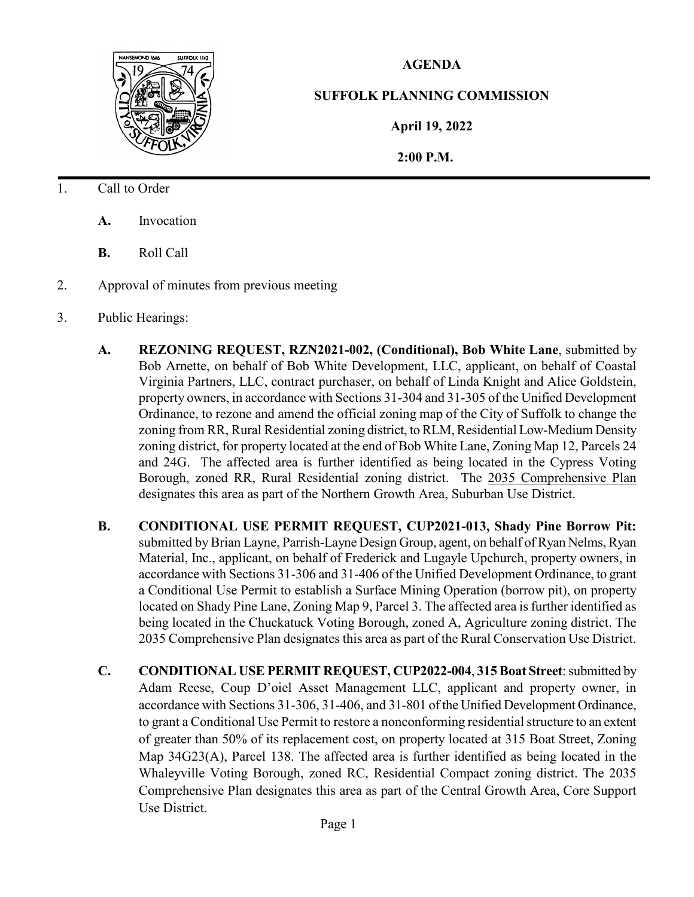

## **AGENDA**

## **SUFFOLK PLANNING COMMISSION**

**April 19, 2022**

 **2:00 P.M.**

- 1. Call to Order
	- **A.** Invocation
	- **B.** Roll Call
- 2. Approval of minutes from previous meeting
- 3. Public Hearings:
	- **A. REZONING REQUEST, RZN2021-002, (Conditional), Bob White Lane**, submitted by Bob Arnette, on behalf of Bob White Development, LLC, applicant, on behalf of Coastal Virginia Partners, LLC, contract purchaser, on behalf of Linda Knight and Alice Goldstein, property owners, in accordance with Sections 31-304 and 31-305 of the Unified Development Ordinance, to rezone and amend the official zoning map of the City of Suffolk to change the zoning from RR, Rural Residential zoning district, to RLM, Residential Low-Medium Density zoning district, for property located at the end of Bob White Lane, Zoning Map 12, Parcels 24 and 24G. The affected area is further identified as being located in the Cypress Voting Borough, zoned RR, Rural Residential zoning district. The 2035 Comprehensive Plan designates this area as part of the Northern Growth Area, Suburban Use District.
	- **B. CONDITIONAL USE PERMIT REQUEST, CUP2021-013, Shady Pine Borrow Pit:**  submitted by Brian Layne, Parrish-Layne Design Group, agent, on behalf of Ryan Nelms, Ryan Material, Inc., applicant, on behalf of Frederick and Lugayle Upchurch, property owners, in accordance with Sections 31-306 and 31-406 of the Unified Development Ordinance, to grant a Conditional Use Permit to establish a Surface Mining Operation (borrow pit), on property located on Shady Pine Lane, Zoning Map 9, Parcel 3. The affected area is further identified as being located in the Chuckatuck Voting Borough, zoned A, Agriculture zoning district. The 2035 Comprehensive Plan designates this area as part of the Rural Conservation Use District.
	- **C. CONDITIONAL USE PERMIT REQUEST, CUP2022-004**, **315 Boat Street**: submitted by Adam Reese, Coup D'oiel Asset Management LLC, applicant and property owner, in accordance with Sections 31-306, 31-406, and 31-801 of the Unified Development Ordinance, to grant a Conditional Use Permit to restore a nonconforming residential structure to an extent of greater than 50% of its replacement cost, on property located at 315 Boat Street, Zoning Map 34G23(A), Parcel 138. The affected area is further identified as being located in the Whaleyville Voting Borough, zoned RC, Residential Compact zoning district. The 2035 Comprehensive Plan designates this area as part of the Central Growth Area, Core Support Use District.